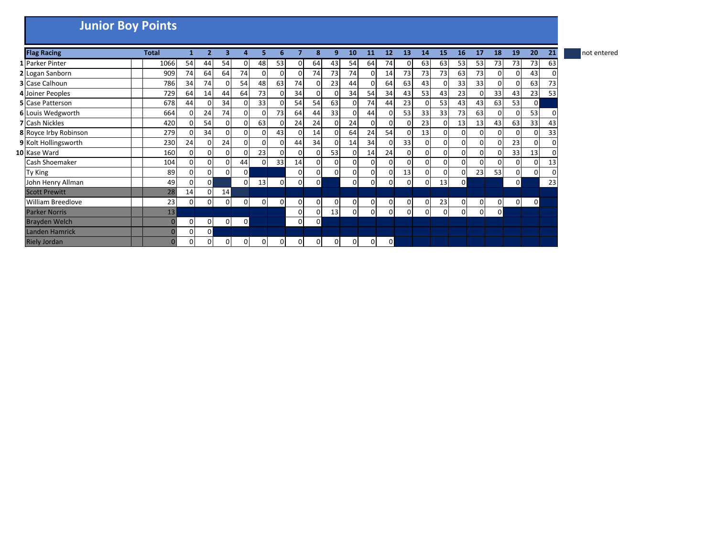## **Junior Boy Points**

| <b>Flag Racing</b>       | <b>Total</b> |                |              |                | 4              |          | 6  |                | 8              | 9        | 10 | 11             | 12             | 13             | 14              | 15             | 16             | 17       | 18             | 19             | 20           | 21 | not entered |
|--------------------------|--------------|----------------|--------------|----------------|----------------|----------|----|----------------|----------------|----------|----|----------------|----------------|----------------|-----------------|----------------|----------------|----------|----------------|----------------|--------------|----|-------------|
| 1 Parker Pinter          | 1066         | 54             | 44           | 54             | 0              | 48       | 53 | $\mathbf{0}$   | 64             | 43       | 54 | 64             | 74             | $\overline{0}$ | 63              | 63             | 53             | 53       | <b>731</b>     | 73             | 73           | 63 |             |
| 2 Logan Sanborn          | 909          | 74             | 64           | 64             | 74             | 0        | 0  | $\Omega$       | 74             | 73       | 74 | $\mathbf{0}$   | 14             | 73             | 73              | 73             | 63             | 73       | $\Omega$       |                | 43           |    |             |
| <b>3</b> Case Calhoun    | 786          | 34             | 74           | $\Omega$       | 54             | 48       | 63 | 74             | 0              | 23       | 44 | $\Omega$       | 64             | 63             | 43              | $\Omega$       | 33             | 33       | $\Omega$       |                | 63           | 73 |             |
| 4 Joiner Peoples         | 729          | 64             | 14           | 44             | 64             | 73       | 01 | 34             | 0              | 0        | 34 | 54             | 34             | 43             | 53              | 43             | 23             |          | 33             | 43             | 23           | 53 |             |
| <b>5</b> Case Patterson  | 678          | 44             | 0            | 34             |                | 33       |    | 54             | 54             | 63       | 01 | 74             | 44             | 23             | οı              | 53             | 43             | 43       | 63             | 53             | οI           |    |             |
| 6 Louis Wedgworth        | 664          | $\Omega$       | 24           | 74             | $\mathbf{0}$   | $\Omega$ | 73 | 64             | 44             | 33       | 01 | 44             | U              | 53             | 33 <sup>1</sup> | 33             | 73             | 63       | $\Omega$       |                | 53           |    |             |
| <b>7</b> Cash Nickles    | 420          | $\overline{0}$ | 54           | $\mathbf 0$    | 0              | 63       | 0  | 24             | 24             | 0        | 24 | $\mathbf{0}$   | $\overline{0}$ | $\mathbf{0}$   | 23              | $\overline{0}$ | 13             | 13       | 43             | 63             | 33           | 43 |             |
| 8 Royce Irby Robinson    | 279          | $\mathbf{0}$   | 34           | $\overline{0}$ | 0              | 0        | 43 | $\Omega$       | 14             | 0        | 64 | 24             | 54             | $\Omega$       | 13              | $\overline{0}$ | $\overline{0}$ |          | <sup>0</sup>   |                | 0            | 33 |             |
| 9 Kolt Hollingsworth     | 230          | 24             | 01           | 24             | $\Omega$       | 0        | 0  | 44             | 34             | 0        | 14 | 34             | 0              | 33             | 01              | $\overline{0}$ | 0              |          | $\Omega$       | 23             | 0            |    |             |
| 10 Kase Ward             | 160          | $\mathbf{0}$   | 01           | $\overline{0}$ |                | 23       | 0  | $\Omega$       | 0              | 53       | οı | 14             | 24             | $\Omega$       | οı              | $\Omega$       | $\Omega$       |          | <sup>0</sup>   | 33             | 13           |    |             |
| Cash Shoemaker           | 104          | $\Omega$       | 0            | $\Omega$       | 44             | 0        | 33 | 14             | 0              | 0        | οı | $\Omega$       | $\Omega$       | $\Omega$       | οı              | $\Omega$       | 0              |          | <sup>0</sup>   |                | 0            | 13 |             |
| Ty King                  | 89           | $\Omega$       | 0            | $\Omega$       | $\overline{0}$ |          |    | $\Omega$       | 0              | 0        | οI | $\Omega$       | 0              | 13             | οI              | $\Omega$       | 0              | 23       | 53             | $\Omega$       | 0            |    |             |
| John Henry Allman        | 49           | $\mathbf{0}$   | $\mathbf{0}$ |                | $\overline{0}$ | 13       | 0  | $\overline{0}$ | 0              |          | 0  | $\mathbf{0}$   | $\overline{0}$ | $\Omega$       | οı              | 13             | $\mathsf{O}$   |          |                | $\mathbf{0}$   |              | 23 |             |
| <b>Scott Prewitt</b>     | 28           | 14             | 0            | 14             |                |          |    |                |                |          |    |                |                |                |                 |                |                |          |                |                |              |    |             |
| <b>William Breedlove</b> | 23           | $\mathbf{0}$   | 0            | $\overline{0}$ | $\mathbf 0$    | 0        | 0  | $\mathbf 0$    | $\overline{0}$ | 0        | 01 | $\overline{0}$ | $\overline{0}$ | οI             | 01              | 23             | $\overline{0}$ | $\Omega$ | 0              | $\overline{0}$ | $\mathbf{0}$ |    |             |
| <b>Parker Norris</b>     | 13           |                |              |                |                |          |    | $\mathbf{0}$   | 0              | 13       | 01 | 0              | $\overline{0}$ | 0              | οı              | $\overline{0}$ | $\overline{0}$ | 0        | $\overline{0}$ |                |              |    |             |
| <b>Brayden Welch</b>     |              | $\mathbf{0}$   | 0            | $\overline{0}$ | 0              |          |    | 0              | 0              |          |    |                |                |                |                 |                |                |          |                |                |              |    |             |
| Landen Hamrick           |              | $\Omega$       | $\mathbf 0$  |                |                |          |    |                |                |          |    |                |                |                |                 |                |                |          |                |                |              |    |             |
| <b>Riely Jordan</b>      |              | $\overline{0}$ | 0            | $\Omega$       | $\Omega$       | 0        | 0  | $\Omega$       | 0              | $\Omega$ | ΟI | $\Omega$       | $\Omega$       |                |                 |                |                |          |                |                |              |    |             |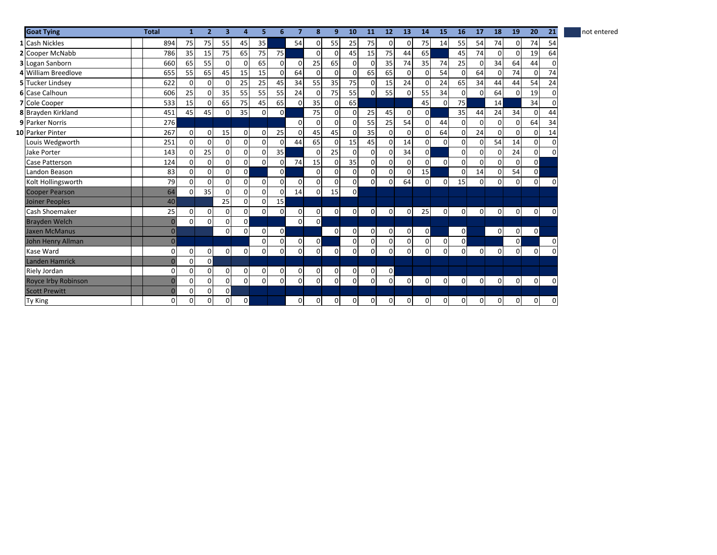| <b>Goat Tying</b>          | <b>Total</b> |                | 1           | $\mathbf{2}$ | 3            |                | 5           | 6.           | 7           | 8              | 9           | 10             | <b>11</b>      | <b>12</b>      | <b>13</b>      | 14       | 15             | <b>16</b>      | 17             | 18             | 19           | 20             | 21          | not entered |
|----------------------------|--------------|----------------|-------------|--------------|--------------|----------------|-------------|--------------|-------------|----------------|-------------|----------------|----------------|----------------|----------------|----------|----------------|----------------|----------------|----------------|--------------|----------------|-------------|-------------|
| 1 Cash Nickles             |              | 894            | 75          | 75           | 55           | 45             | 35          |              | 54          | $\overline{0}$ | 55          | 25             | 75             | $\overline{0}$ | 0              | 75       | 14             | 55             | 54             | 74             | 0            | 74             | 54          |             |
| 2 Cooper McNabb            |              | 786            | 35          | 15           | 75           | 65             | 75          | <b>75</b>    |             | $\Omega$       | $\Omega$    | 45             | 15             | 75             | 44             | 65       |                | 45             | 74             | $\Omega$       | $\mathbf 0$  | 19             | 64          |             |
| 3 Logan Sanborn            |              | 660            | 65          | 55           | $\Omega$     | 0              | 65          | $\Omega$     | $\Omega$    | 25             | 65          | $\Omega$       | $\Omega$       | 35             | 74             | 35       | 74             | 25             | 0              | 34             | 64           | 44             | 0           |             |
| 4 William Breedlove        |              | 655            | 55          | 65           | 45           | 15             | 15          | $\Omega$     | 64          | $\Omega$       | $\Omega$    | $\Omega$       | 65             | 65             | $\mathbf 0$    | $\Omega$ | 54             | $\overline{0}$ | 64             | $\Omega$       | 74           | $\mathbf{0}$   | 74          |             |
| 5 Tucker Lindsey           |              | 622            | 0           | $\Omega$     | $\Omega$     | 25             | 25          | 45           | 34          | 55             | 35          | 75             | $\overline{0}$ | 15             | 24             | $\Omega$ | 24             | 65             | 34             | 44             | 44           | 54             | 24          |             |
| 6 Case Calhoun             |              | 606            | 25          |              | 35           | 55             | 55          | 55           | 24          | $\mathbf 0$    | 75          | 55             | $\overline{0}$ | 55             | $\Omega$       | 55       | 34             | $\overline{0}$ | $\mathbf 0$    | 64             | 0            | 19             | $\Omega$    |             |
| 7 Cole Cooper              |              | 533            | 15          | $\Omega$     | 65           | 75             | 45          | 65           | $\Omega$    | 35             | $\Omega$    | 65             |                |                |                | 45       | $\overline{0}$ | 75             |                | 14             |              | 34             | $\mathbf 0$ |             |
| 8 Brayden Kirkland         |              | 451            | 45          | 45           | $\Omega$     | 35             | $\mathbf 0$ | $\mathbf{0}$ |             | 75             | 0           | $\Omega$       | 25             | 45             | $\mathbf 0$    | $\Omega$ |                | 35             | 44             | 24             | 34           | $\overline{0}$ | 44          |             |
| 9 Parker Norris            |              | 276            |             |              |              |                |             |              | $\Omega$    | $\Omega$       | $\Omega$    | $\Omega$       | 55             | 25             | 54             | $\Omega$ | 44             | $\mathbf{0}$   | $\mathbf 0$    | $\overline{0}$ | $\mathbf{0}$ | 64             | 34          |             |
| 10 Parker Pinter           |              | 267            | 0           | $\Omega$     | 15           | $\mathbf 0$    | $\mathbf 0$ | 25           | $\mathbf 0$ | 45             | 45          | $\Omega$       | 35             | $\Omega$       | $\mathbf 0$    | $\Omega$ | 64             | $\overline{0}$ | 24             | $\Omega$       | 0            | $\mathbf{0}$   | 14          |             |
| Louis Wedgworth            |              | 251            | $\Omega$    | $\Omega$     | $\Omega$     | $\Omega$       | $\mathbf 0$ | $\Omega$     | 44          | 65             | $\Omega$    | 15             | 45             | $\Omega$       | 14             | $\Omega$ | $\overline{0}$ | $\mathbf{0}$   | $\mathbf 0$    | 54             | 14           | $\mathbf{0}$   | $\mathbf 0$ |             |
| Jake Porter                |              | 143            | $\Omega$    | 25           | $\Omega$     | $\Omega$       | $\mathbf 0$ | 35           |             | $\overline{0}$ | 25          | $\Omega$       | $\mathbf 0$    | $\Omega$       | 34             | ΩI       |                | $\mathbf{0}$   | $\mathbf 0$    | $\Omega$       | 24           | $\mathbf{0}$   | $\Omega$    |             |
| Case Patterson             |              | 124            | $\mathbf 0$ | 0            | $\mathbf{0}$ | $\Omega$       | $\mathbf 0$ | $\Omega$     | 74          | 15             | $\Omega$    | 35             | $\Omega$       | $\Omega$       | $\mathbf 0$    | $\Omega$ | $\overline{0}$ | $\Omega$       | 0              | $\Omega$       | 0            | $\mathbf{0}$   |             |             |
| Landon Beason              |              | 83             | $\Omega$    | 0            | $\Omega$     | $\overline{0}$ |             | $\Omega$     |             | $\Omega$       | $\Omega$    | $\Omega$       | $\overline{0}$ | $\Omega$       | $\Omega$       | 15       |                | $\overline{0}$ | 14             | $\Omega$       | 54           | $\overline{0}$ |             |             |
| Kolt Hollingsworth         |              | 79             | $\Omega$    | $\Omega$     | $\Omega$     | $\Omega$       | $\mathbf 0$ | $\Omega$     | $\Omega$    | $\overline{0}$ | $\mathbf 0$ | $\Omega$       | $\Omega$       | $\Omega$       | 64             | $\Omega$ | $\overline{0}$ | 15             | $\Omega$       | $\Omega$       | 0            | $\mathbf{0}$   | 0           |             |
| <b>Cooper Pearson</b>      |              | 64             | $\Omega$    | 35           | $\Omega$     | $\Omega$       | $\mathbf 0$ | $\Omega$     | 14          | $\Omega$       | 15          | $\overline{0}$ |                |                |                |          |                |                |                |                |              |                |             |             |
| Joiner Peoples             |              | 40             |             |              | 25           | $\overline{0}$ | $\Omega$    | 15           |             |                |             |                |                |                |                |          |                |                |                |                |              |                |             |             |
| Cash Shoemaker             |              | 25             | $\Omega$    | $\Omega$     | 0            | $\Omega$       | $\Omega$    | $\Omega$     | $\mathbf 0$ | $\overline{0}$ | $\mathbf 0$ | $\Omega$       | $\overline{0}$ | $\Omega$       | $\Omega$       | 25       | $\overline{0}$ | $\overline{0}$ | $\mathbf 0$    | $\overline{0}$ | 0            | $\overline{0}$ | 0           |             |
| <b>Brayden Welch</b>       |              | $\mathbf{0}$   | $\Omega$    | 0            | $\Omega$     | $\overline{0}$ |             |              | $\Omega$    | $\Omega$       |             |                |                |                |                |          |                |                |                |                |              |                |             |             |
| <b>Jaxen McManus</b>       |              | $\overline{0}$ |             |              | $\Omega$     | $\Omega$       | $\Omega$    | $\Omega$     |             |                | $\Omega$    | $\Omega$       | $\overline{0}$ | $\Omega$       | $\Omega$       | $\Omega$ |                | $\overline{0}$ |                | $\Omega$       | 0            | $\Omega$       |             |             |
| John Henry Allman          |              | $\overline{0}$ |             |              |              |                | $\mathbf 0$ | $\Omega$     | 0           | $\mathbf{0}$   |             | $\Omega$       | $\mathbf 0$    | $\Omega$       | $\mathbf{0}$   | $\Omega$ | $\mathbf{0}$   | $\overline{0}$ |                |                | $\mathbf 0$  |                | $\Omega$    |             |
| Kase Ward                  |              | 0              | 0           | $\Omega$     | $\mathbf 0$  | $\Omega$       | $\mathbf 0$ | $\Omega$     | $\Omega$    | $\Omega$       | $\Omega$    | $\Omega$       | $\Omega$       | $\Omega$       | $\overline{0}$ | $\Omega$ | $\Omega$       | $\Omega$       | $\overline{0}$ | $\overline{0}$ | $\mathbf 0$  | $\overline{0}$ | $\Omega$    |             |
| <b>Landen Hamrick</b>      |              |                | 0           | $\Omega$     |              |                |             |              |             |                |             |                |                |                |                |          |                |                |                |                |              |                |             |             |
| Riely Jordan               |              | $\Omega$       | $\Omega$    | $\Omega$     | $\Omega$     | $\mathbf 0$    | 0           | $\Omega$     | $\mathbf 0$ | $\overline{0}$ | 0           | $\overline{0}$ | $\overline{0}$ | $\mathbf{0}$   |                |          |                |                |                |                |              |                |             |             |
| <b>Royce Irby Robinson</b> |              |                | 0           | $\Omega$     | $\mathbf 0$  | $\mathbf 0$    | $\mathbf 0$ | $\Omega$     | $\Omega$    | $\Omega$       | $\Omega$    | $\Omega$       | $\Omega$       | $\Omega$       | $\overline{0}$ | $\Omega$ | $\overline{0}$ | $\Omega$       | 0              | $\mathsf{o}$   | $\mathbf 0$  | $\mathbf{0}$   | $\Omega$    |             |
| <b>Scott Prewitt</b>       |              |                | 0           | $\Omega$     | $\Omega$     |                |             |              |             |                |             |                |                |                |                |          |                |                |                |                |              |                |             |             |
| <b>Ty King</b>             |              | 0              | 0           | 0            | $\mathbf 0$  | $\mathsf{o}$   |             |              | 0           | $\overline{0}$ | 0           | $\overline{0}$ | 0              | $\overline{0}$ | $\overline{0}$ | 0        | $\overline{0}$ | $\overline{0}$ | $\overline{0}$ | 0              | 0            | $\overline{0}$ | $\Omega$    |             |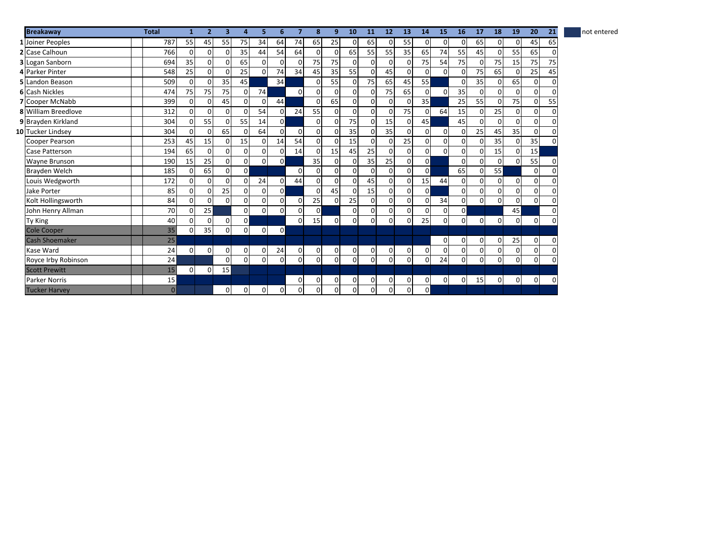| <b>Breakaway</b>           | <b>Total</b>   | 1              | $\mathbf{2}$ | 3              | 4              | 5           | 6              | 7              | 8              | 9        | 10             | 11             | 12             | 13             | 14       | 15             | 16             | 17          | 18             | 19           | 20             | 21          | not entered |
|----------------------------|----------------|----------------|--------------|----------------|----------------|-------------|----------------|----------------|----------------|----------|----------------|----------------|----------------|----------------|----------|----------------|----------------|-------------|----------------|--------------|----------------|-------------|-------------|
| 1 Joiner Peoples           | 787            | 55             | 45           | 55             | 75             | 34          | 64             | 74             | 65             | 25       | $\Omega$       | 65             | $\Omega$       | 55             | $\Omega$ | $\overline{0}$ | $\overline{0}$ | 65          | 0              | $\mathbf{0}$ | 45             | 65          |             |
| 2 Case Calhoun             | 766            | 0              |              | $\Omega$       | 35             | 44          | 54             | 64             | $\Omega$       | $\Omega$ | 65             | 55             | 55             | 35             | 65       | 74             | 55             | 45          | $\Omega$       | 55           | 65             | $\Omega$    |             |
| 3 Logan Sanborn            | 694            | 35             |              | $\Omega$       | 65             | $\Omega$    |                | $\Omega$       | 75             | 75       | $\Omega$       | $\Omega$       |                | $\Omega$       | 75       | 54             | 75             | 0           | 75             | 15           | 75             | 75          |             |
| 4 Parker Pinter            | 548            | 25             |              | $\Omega$       | 25             | $\Omega$    | 74             | 34             | 45             | 35       | 55             | $\Omega$       | 45             | $\Omega$       |          | $\Omega$       | $\Omega$       | 75          | 65             | $\Omega$     | 25             | 45          |             |
| <b>5 Landon Beason</b>     | 509            | $\Omega$       |              | 35             | 45             |             | 34             |                | $\Omega$       | 55       | $\Omega$       | 75             | 65             | 45             | 55       |                | $\Omega$       | 35          | $\Omega$       | 65           | $\mathbf{0}$   | 0           |             |
| 6 Cash Nickles             | 474            | 75             | 75           | 75             | $\mathbf 0$    | 74          |                | $\overline{0}$ | $\Omega$       | $\Omega$ | $\Omega$       | $\Omega$       | 75             | 65             | $\Omega$ | $\overline{0}$ | 35             | 0           | $\Omega$       | $\Omega$     | $\Omega$       | $\Omega$    |             |
| <b>7</b> Cooper McNabb     | 399            | O              |              | 45             | $\Omega$       | $\Omega$    | 44             |                | $\Omega$       | 65       | $\Omega$       | 0              |                | $\Omega$       | 35       |                | 25             | 55          | $\Omega$       | 75           | $\Omega$       | 55          |             |
| <b>8</b> William Breedlove | 312            | $\Omega$       |              | $\Omega$       | $\Omega$       | 54          | $\Omega$       | 24             | 55             | $\Omega$ | $\Omega$       | $\Omega$       | $\Omega$       | 75             | $\Omega$ | 64             | 15             | $\Omega$    | 25             | 0            | $\mathbf{0}$   | $\Omega$    |             |
| 9 Brayden Kirkland         | 304            | $\Omega$       | 55           | $\Omega$       | 55             | 14          | $\Omega$       |                | $\overline{0}$ | $\Omega$ | 75             | $\Omega$       | 15             | $\mathbf{0}$   | 45       |                | 45             | 0           | $\Omega$       | 0            | $\mathbf{0}$   | 0           |             |
| 10 Tucker Lindsey          | 304            | 0              | O            | 65             | $\Omega$       | 64          | $\Omega$       | 0              | $\mathbf{0}$   | $\Omega$ | 35             | $\Omega$       | 35             | $\overline{0}$ | $\Omega$ | $\overline{0}$ | $\overline{0}$ | 25          | 45             | 35           | $\mathbf{0}$   | $\Omega$    |             |
| Cooper Pearson             | 253            | 45             | 15           | 0              | 15             | $\Omega$    | 14             | 54             | $\Omega$       | $\Omega$ | 15             | $\Omega$       |                | 25             |          | $\overline{0}$ | $\Omega$       | $\Omega$    | 35             | $\mathbf{0}$ | 35             | $\Omega$    |             |
| Case Patterson             | 194            | 65             |              | $\Omega$       | $\Omega$       | $\Omega$    | $\Omega$       | 14             | $\Omega$       | 15       | 45             | 25             | $\Omega$       | $\Omega$       | $\Omega$ | $\Omega$       | $\Omega$       | $\Omega$    | 15             | $\mathbf 0$  | 15             |             |             |
| <b>Wayne Brunson</b>       | 190            | 15             | 25           | $\mathbf{0}$   | $\Omega$       | $\Omega$    | $\Omega$       |                | 35             | $\Omega$ | $\Omega$       | 35             | 25             | $\overline{0}$ | $\Omega$ |                | $\Omega$       | 0           | $\Omega$       | $\Omega$     | 55             | 0           |             |
| Brayden Welch              | 185            | $\Omega$       | 65           | $\Omega$       | $\mathsf{o}$   |             |                | 0              | $\mathbf 0$    | $\Omega$ | $\Omega$       | $\Omega$       | $\overline{0}$ | $\overline{0}$ | $\Omega$ |                | 65             | $\mathbf 0$ | 55             |              | $\Omega$       | $\Omega$    |             |
| Louis Wedgworth            | 172            | 0              |              | $\Omega$       | $\Omega$       | 24          |                | 44             | $\Omega$       | $\Omega$ | $\Omega$       | 45             |                | $\Omega$       | 15       | 44             | $\Omega$       | $\Omega$    | $\Omega$       | $\mathbf 0$  | $\mathbf{0}$   | $\Omega$    |             |
| Jake Porter                | 85             | $\Omega$       |              | 25             | $\Omega$       | 0           | $\Omega$       |                | $\Omega$       | 45       | $\Omega$       | 15             | $\Omega$       | $\Omega$       | ΩI       |                | $\Omega$       | $\Omega$    | $\Omega$       | 0            | $\Omega$       | $\Omega$    |             |
| Kolt Hollingsworth         | 84             | $\Omega$       |              | $\Omega$       | $\Omega$       | $\mathbf 0$ | $\Omega$       | $\Omega$       | 25             | $\Omega$ | 25             | $\Omega$       | $\Omega$       | $\overline{0}$ |          | 34             | $\overline{0}$ | 0           | $\Omega$       | 0            | $\Omega$       | $\mathbf 0$ |             |
| John Henry Allman          | 70             | $\Omega$       | 25           |                | $\overline{0}$ | $\mathbf 0$ | $\Omega$       | 0              | $\overline{0}$ |          | $\Omega$       | $\overline{0}$ | 0              | $\overline{0}$ |          | $\overline{0}$ | $\mathbf{0}$   |             |                | 45           |                | $\Omega$    |             |
| Ty King                    | 40             | $\Omega$       |              | $\overline{0}$ | $\mathsf{o}$   |             |                | $\Omega$       | 15             | $\Omega$ | $\Omega$       | $\Omega$       | U              | $\Omega$       | 25       | $\overline{0}$ | $\Omega$       | $\mathbf 0$ | $\overline{0}$ | $\mathbf 0$  | $\mathbf{0}$   | $\Omega$    |             |
| <b>Cole Cooper</b>         | 35             | 0              | 35           | $\Omega$       | $\overline{0}$ | $\mathbf 0$ | $\mathbf{0}$   |                |                |          |                |                |                |                |          |                |                |             |                |              |                |             |             |
| <b>Cash Shoemaker</b>      | 25             |                |              |                |                |             |                |                |                |          |                |                |                |                |          | $\overline{0}$ | $\mathbf 0$    | 0           | $\mathsf{o}$   | 25           | $\mathbf 0$    | 0           |             |
| Kase Ward                  | 24             | $\overline{0}$ | 0            | $\overline{0}$ | $\overline{0}$ | 0           | 24             | 0              | $\overline{0}$ | 0        | $\overline{0}$ | $\overline{0}$ | $\overline{0}$ | $\overline{0}$ | $\Omega$ | $\overline{0}$ | $\overline{0}$ | 0           | $\Omega$       | 0            | $\mathbf{0}$   | 0           |             |
| Royce Irby Robinson        | 24             |                |              | $\Omega$       | $\mathbf 0$    | 0           | $\Omega$       | $\mathbf 0$    | $\mathbf{0}$   | $\Omega$ | $\Omega$       | $\Omega$       | $\Omega$       | $\overline{0}$ |          | 24             | $\Omega$       | 0           | οI             | 0            | $\mathbf{0}$   | $\Omega$    |             |
| <b>Scott Prewitt</b>       | 15             | $\Omega$       | $\Omega$     | 15             |                |             |                |                |                |          |                |                |                |                |          |                |                |             |                |              |                |             |             |
| <b>Parker Norris</b>       | 15             |                |              |                |                |             |                | $\Omega$       | $\mathbf{0}$   | 0        | $\Omega$       | $\Omega$       | $\mathbf 0$    | $\overline{0}$ | $\Omega$ | $\overline{0}$ | $\overline{0}$ | 15          | $\Omega$       | $\mathbf{0}$ | $\overline{0}$ | 0           |             |
| <b>Tucker Harvey</b>       | $\overline{0}$ |                |              | $\mathbf 0$    | $\overline{0}$ | 0           | $\overline{0}$ | 0              | $\mathbf{0}$   | 0        | $\overline{0}$ | $\overline{0}$ | $\mathbf{0}$   | $\overline{0}$ | ٥I       |                |                |             |                |              |                |             |             |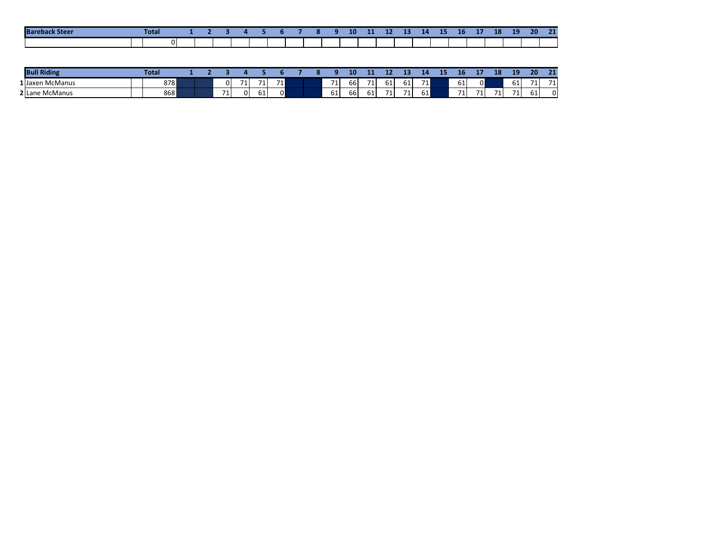| <b>Bar</b><br>steer. | <b>Total</b> |  |  |  |  | 10 | 11 | - -<br>12 | . .<br>-- | 14 | 15 | - -<br>16 | <b>CALL 1979</b><br> | 10<br>40 | 10<br>-- | $20^{\circ}$ | <b>Contract</b><br>. |
|----------------------|--------------|--|--|--|--|----|----|-----------|-----------|----|----|-----------|----------------------|----------|----------|--------------|----------------------|
|                      |              |  |  |  |  |    |    |           |           |    |    |           |                      |          |          |              |                      |

| <b>Bull Riding</b>    | īotal |  |        |        |       |                |  |                  | 10       | .              | . .<br>. . | <b>1999</b><br>--                | 14 | --- | ш         | .              | 18 | 10<br>---       | 20 | 21<br>.        |
|-----------------------|-------|--|--------|--------|-------|----------------|--|------------------|----------|----------------|------------|----------------------------------|----|-----|-----------|----------------|----|-----------------|----|----------------|
| 1 Jaxen McManus       | 878   |  |        |        | $-14$ | 74<br><b>T</b> |  | 71 <sub>1</sub>  | 66       | - -<br>$\perp$ | 61         | $\sim$<br>61                     | 71 |     | <b>OT</b> | $\overline{0}$ |    | 61              | 71 | 74<br><b>.</b> |
| <b>2</b> Lane McManus | 868   |  | $\sim$ | ⌒<br>υ | 61    |                |  | <b>CA</b><br>ЮT. | --<br>bb | bТ.            | $-1$<br>Τ. | $-1$<br>$\overline{\phantom{a}}$ | 61 |     | 74        | 71             | 71 | 71<br><u>д.</u> | 61 | 0              |